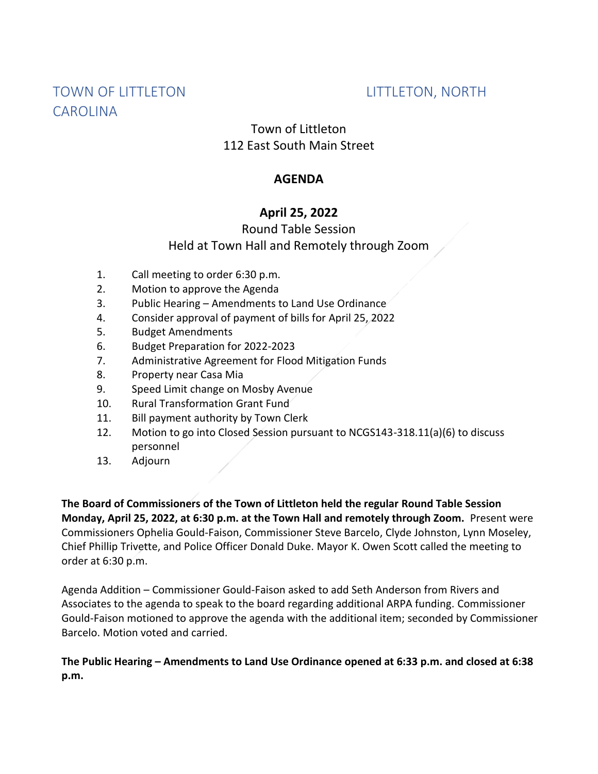# TOWN OF LITTLETON LITTLETON, NORTH CAROLINA

# Town of Littleton 112 East South Main Street

### **AGENDA**

## **April 25, 2022**

# Round Table Session Held at Town Hall and Remotely through Zoom

- 1. Call meeting to order 6:30 p.m.
- 2. Motion to approve the Agenda
- 3. Public Hearing Amendments to Land Use Ordinance
- 4. Consider approval of payment of bills for April 25, 2022
- 5. Budget Amendments
- 6. Budget Preparation for 2022-2023
- 7. Administrative Agreement for Flood Mitigation Funds
- 8. Property near Casa Mia
- 9. Speed Limit change on Mosby Avenue
- 10. Rural Transformation Grant Fund
- 11. Bill payment authority by Town Clerk
- 12. Motion to go into Closed Session pursuant to NCGS143-318.11(a)(6) to discuss personnel
- 13. Adjourn

**The Board of Commissioners of the Town of Littleton held the regular Round Table Session Monday, April 25, 2022, at 6:30 p.m. at the Town Hall and remotely through Zoom.** Present were Commissioners Ophelia Gould-Faison, Commissioner Steve Barcelo, Clyde Johnston, Lynn Moseley, Chief Phillip Trivette, and Police Officer Donald Duke. Mayor K. Owen Scott called the meeting to order at 6:30 p.m.

Agenda Addition – Commissioner Gould-Faison asked to add Seth Anderson from Rivers and Associates to the agenda to speak to the board regarding additional ARPA funding. Commissioner Gould-Faison motioned to approve the agenda with the additional item; seconded by Commissioner Barcelo. Motion voted and carried.

#### **The Public Hearing – Amendments to Land Use Ordinance opened at 6:33 p.m. and closed at 6:38 p.m.**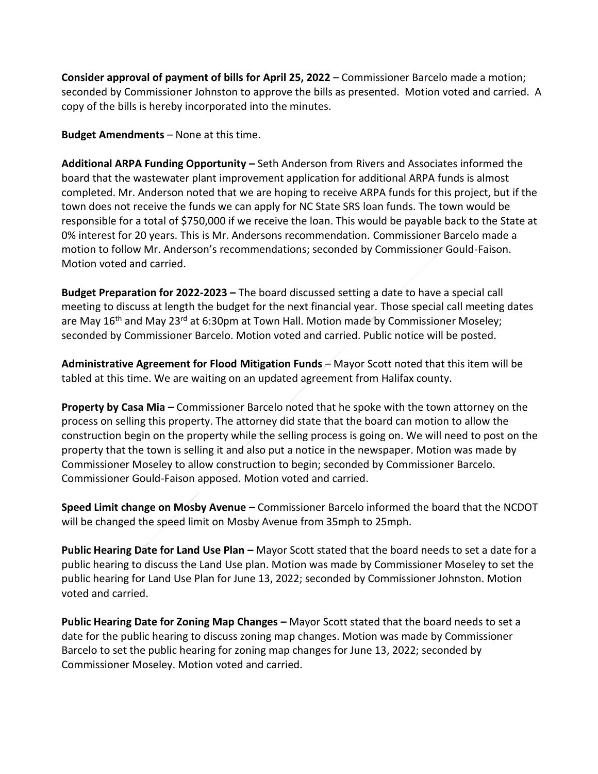**Consider approval of payment of bills for April 25, 2022** – Commissioner Barcelo made a motion; seconded by Commissioner Johnston to approve the bills as presented. Motion voted and carried. A copy of the bills is hereby incorporated into the minutes.

**Budget Amendments** – None at this time.

**Additional ARPA Funding Opportunity –** Seth Anderson from Rivers and Associates informed the board that the wastewater plant improvement application for additional ARPA funds is almost completed. Mr. Anderson noted that we are hoping to receive ARPA funds for this project, but if the town does not receive the funds we can apply for NC State SRS loan funds. The town would be responsible for a total of \$750,000 if we receive the loan. This would be payable back to the State at 0% interest for 20 years. This is Mr. Andersons recommendation. Commissioner Barcelo made a motion to follow Mr. Anderson's recommendations; seconded by Commissioner Gould-Faison. Motion voted and carried.

**Budget Preparation for 2022-2023 –** The board discussed setting a date to have a special call meeting to discuss at length the budget for the next financial year. Those special call meeting dates are May 16<sup>th</sup> and May 23<sup>rd</sup> at 6:30pm at Town Hall. Motion made by Commissioner Moseley; seconded by Commissioner Barcelo. Motion voted and carried. Public notice will be posted.

**Administrative Agreement for Flood Mitigation Funds** – Mayor Scott noted that this item will be tabled at this time. We are waiting on an updated agreement from Halifax county.

**Property by Casa Mia –** Commissioner Barcelo noted that he spoke with the town attorney on the process on selling this property. The attorney did state that the board can motion to allow the construction begin on the property while the selling process is going on. We will need to post on the property that the town is selling it and also put a notice in the newspaper. Motion was made by Commissioner Moseley to allow construction to begin; seconded by Commissioner Barcelo. Commissioner Gould-Faison apposed. Motion voted and carried.

**Speed Limit change on Mosby Avenue –** Commissioner Barcelo informed the board that the NCDOT will be changed the speed limit on Mosby Avenue from 35mph to 25mph.

**Public Hearing Date for Land Use Plan –** Mayor Scott stated that the board needs to set a date for a public hearing to discuss the Land Use plan. Motion was made by Commissioner Moseley to set the public hearing for Land Use Plan for June 13, 2022; seconded by Commissioner Johnston. Motion voted and carried.

**Public Hearing Date for Zoning Map Changes –** Mayor Scott stated that the board needs to set a date for the public hearing to discuss zoning map changes. Motion was made by Commissioner Barcelo to set the public hearing for zoning map changes for June 13, 2022; seconded by Commissioner Moseley. Motion voted and carried.